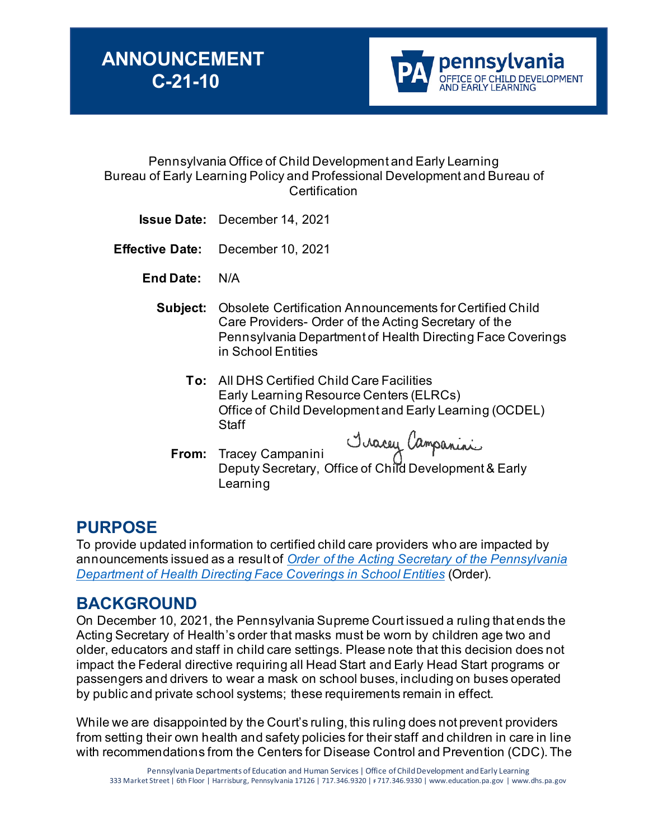

#### Pennsylvania Office of Child Development and Early Learning Bureau of Early Learning Policy and Professional Development and Bureau of **Certification**

- **Issue Date:** December 14, 2021
- **Effective Date:** December 10, 2021

 **End Date:** N/A

- **Subject:** Obsolete Certification Announcements for Certified Child Care Providers- Order of the Acting Secretary of the Pennsylvania Department of Health Directing Face Coverings in School Entities
	- **To:** All DHS Certified Child Care Facilities Early Learning Resource Centers (ELRCs) Office of Child Development and Early Learning (OCDEL) **Staff**
	- **From:** Tracey Campanini Tracey Campanini<br>Deputy Secretary, Office of Child Development & Early **Learning**

## **PURPOSE**

To provide updated information to certified child care providers who are impacted by announcements issued as a result of *[Order of the Acting Secretary of the Pennsylvania](https://www.health.pa.gov/topics/Documents/Diseases%20and%20Conditions/Order%20of%20the%20Acting%20Secretary%20Directing%20Face%20Coverings%20in%20Schools.pdf)  [Department of Health Directing Face Coverings in School Entities](https://www.health.pa.gov/topics/Documents/Diseases%20and%20Conditions/Order%20of%20the%20Acting%20Secretary%20Directing%20Face%20Coverings%20in%20Schools.pdf)* (Order).

## **BACKGROUND**

On December 10, 2021, the Pennsylvania Supreme Court issued a ruling that ends the Acting Secretary of Health's order that masks must be worn by children age two and older, educators and staff in child care settings. Please note that this decision does not impact the Federal directive requiring all Head Start and Early Head Start programs or passengers and drivers to wear a mask on school buses, including on buses operated by public and private school systems; these requirements remain in effect.

While we are disappointed by the Court's ruling, this ruling does not prevent providers from setting their own health and safety policies for their staff and children in care in line with recommendations from the Centers for Disease Control and Prevention (CDC). The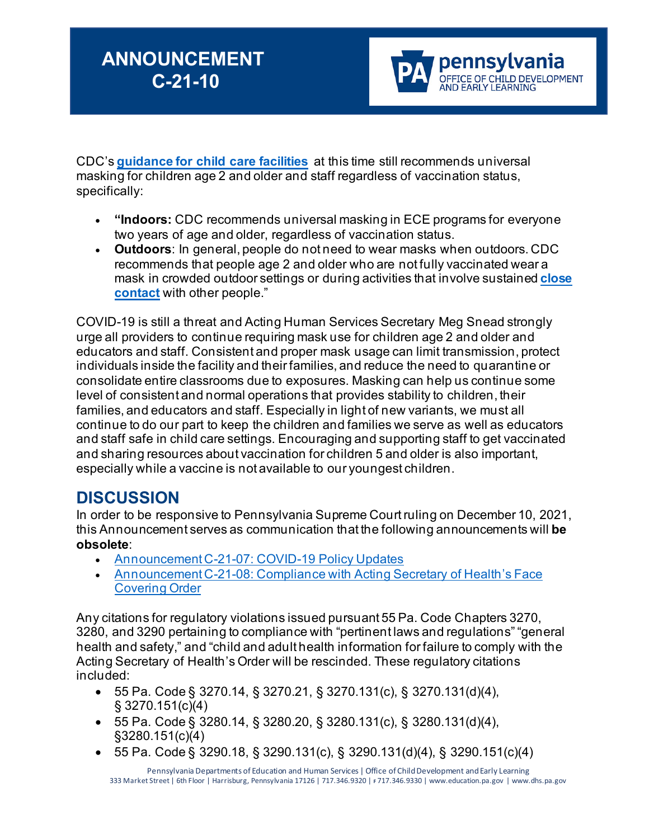

CDC's **[guidance for child care facilities](https://gcc02.safelinks.protection.outlook.com/?url=https%3A%2F%2Fr20.rs6.net%2Ftn.jsp%3Ff%3D001BDC96s8_YWMaLdH_7806l63-fjAi0nJw4vY7r6mzWMta4PnlkwApm3wGO4ewKx_Zj6TnxYDK0dEskSjKek1-XOiO0PzZdnZR8fP6A6hR8_tpWprWI7ND_Yo0mES_wg229gZfPYb5pwFQhVHxEUEP_XopAYHFCfyiUdR3fcJ9yzbDvlQHyr7BsPoPpD14XmY90xzUVJ0efd8287UJZK0Kv4HY3hv13EDMyYk8tMPidb57nPCuSMpsWw%3D%3D%26c%3Dxw-vq0f1kGDnMTY768hDtGCSLf-3JT10Zk4LBRplR0T1k2VaJHD3MQ%3D%3D%26ch%3DrTOFxmQpoa34bBzuSXnFuxKCww8wTvsC_BbWEpa9JH2Vy3lGFIeYcg%3D%3D&data=04%7C01%7Ckeshaw%40pa.gov%7C7d95293ba2604b7e7f5b08d9bc346c24%7C418e284101284dd59b6c47fc5a9a1bde%7C0%7C0%7C637747755604466280%7CUnknown%7CTWFpbGZsb3d8eyJWIjoiMC4wLjAwMDAiLCJQIjoiV2luMzIiLCJBTiI6Ik1haWwiLCJXVCI6Mn0%3D%7C3000&sdata=Cu7GqwR27R%2Fb1%2FRMnZpCOAbQbOTAhW6zLLef8%2BUSTgQ%3D&reserved=0)** at this time still recommends universal masking for children age 2 and older and staff regardless of vaccination status, specifically:

- **"Indoors:** CDC recommends universal masking in ECE programs for everyone two years of age and older, regardless of vaccination status.
- **Outdoors**: In general, people do not need to wear masks when outdoors. CDC recommends that people age 2 and older who are not fully vaccinated wear a mask in crowded outdoor settings or during activities that involve sustained **[close](https://gcc02.safelinks.protection.outlook.com/?url=https%3A%2F%2Fr20.rs6.net%2Ftn.jsp%3Ff%3D001BDC96s8_YWMaLdH_7806l63-fjAi0nJw4vY7r6mzWMta4PnlkwApm7jmC1XoUAUho5atQvCjpLIbuh0_owAsLUM_cZzzhDNotsulXNRdMddgOLIa9JJSruqsY_3HJmMMYWZPfXzfd05UKrH09QHsyb3LsHQmIsLk-rXi1yOILqnwvSL1ao6bNdDLgm6q0fT0qAl0-EMJwu6paYEa9gk6FnJ_UkwZzEQXyeWewhzlQpk_AityGd3WwacYWGgs0HuloLlC2m_a5fs%3D%26c%3Dxw-vq0f1kGDnMTY768hDtGCSLf-3JT10Zk4LBRplR0T1k2VaJHD3MQ%3D%3D%26ch%3DrTOFxmQpoa34bBzuSXnFuxKCww8wTvsC_BbWEpa9JH2Vy3lGFIeYcg%3D%3D&data=04%7C01%7Ckeshaw%40pa.gov%7C7d95293ba2604b7e7f5b08d9bc346c24%7C418e284101284dd59b6c47fc5a9a1bde%7C0%7C0%7C637747755604466280%7CUnknown%7CTWFpbGZsb3d8eyJWIjoiMC4wLjAwMDAiLCJQIjoiV2luMzIiLCJBTiI6Ik1haWwiLCJXVCI6Mn0%3D%7C3000&sdata=E2ohLVfNjPmw7UCKEzUc740Ftx%2Bpt80hmXuiihj2qJI%3D&reserved=0)  [contact](https://gcc02.safelinks.protection.outlook.com/?url=https%3A%2F%2Fr20.rs6.net%2Ftn.jsp%3Ff%3D001BDC96s8_YWMaLdH_7806l63-fjAi0nJw4vY7r6mzWMta4PnlkwApm7jmC1XoUAUho5atQvCjpLIbuh0_owAsLUM_cZzzhDNotsulXNRdMddgOLIa9JJSruqsY_3HJmMMYWZPfXzfd05UKrH09QHsyb3LsHQmIsLk-rXi1yOILqnwvSL1ao6bNdDLgm6q0fT0qAl0-EMJwu6paYEa9gk6FnJ_UkwZzEQXyeWewhzlQpk_AityGd3WwacYWGgs0HuloLlC2m_a5fs%3D%26c%3Dxw-vq0f1kGDnMTY768hDtGCSLf-3JT10Zk4LBRplR0T1k2VaJHD3MQ%3D%3D%26ch%3DrTOFxmQpoa34bBzuSXnFuxKCww8wTvsC_BbWEpa9JH2Vy3lGFIeYcg%3D%3D&data=04%7C01%7Ckeshaw%40pa.gov%7C7d95293ba2604b7e7f5b08d9bc346c24%7C418e284101284dd59b6c47fc5a9a1bde%7C0%7C0%7C637747755604466280%7CUnknown%7CTWFpbGZsb3d8eyJWIjoiMC4wLjAwMDAiLCJQIjoiV2luMzIiLCJBTiI6Ik1haWwiLCJXVCI6Mn0%3D%7C3000&sdata=E2ohLVfNjPmw7UCKEzUc740Ftx%2Bpt80hmXuiihj2qJI%3D&reserved=0)** with other people."

COVID-19 is still a threat and Acting Human Services Secretary Meg Snead strongly urge all providers to continue requiring mask use for children age 2 and older and educators and staff. Consistent and proper mask usage can limit transmission, protect individuals inside the facility and their families, and reduce the need to quarantine or consolidate entire classrooms due to exposures. Masking can help us continue some level of consistent and normal operations that provides stability to children, their families, and educators and staff. Especially in light of new variants, we must all continue to do our part to keep the children and families we serve as well as educators and staff safe in child care settings. Encouraging and supporting staff to get vaccinated and sharing resources about vaccination for children 5 and older is also important, especially while a vaccine is not available to our youngest children.

# **DISCUSSION**

In order to be responsive to Pennsylvania Supreme Court ruling on December 10, 2021, this Announcement serves as communication that the following announcements will **be obsolete**:

- Announcement C-21-07: [COVID-19 Policy Updates](https://s35729.pcdn.co/wp-content/uploads/2021/08/Announcement-C-21-07-Certified-Child-Care-Providers-Operating-Under-DOH-Order-Aug.31-FINAL.pdf)
- Announcement C-21-08: Compliance with Acting Secretary of Health's Face [Covering Order](https://www.pakeys.org/wp-content/uploads/2021/09/Announcement-C-21-08-Compliance-with-Acting-Secretary-of-Healths-Face-Covering-Order.pdf)

Any citations for regulatory violations issued pursuant 55 Pa. Code Chapters 3270, 3280, and 3290 pertaining to compliance with "pertinent laws and regulations" "general health and safety," and "child and adult health information for failure to comply with the Acting Secretary of Health's Order will be rescinded. These regulatory citations included:

- 55 Pa. Code § 3270.14, § 3270.21, § 3270.131(c), § 3270.131(d)(4), § 3270.151(c)(4)
- 55 Pa. Code § 3280.14, § 3280.20, § 3280.131(c), § 3280.131(d)(4), §3280.151(c)(4)
- 55 Pa. Code § 3290.18, § 3290.131(c), § 3290.131(d)(4), § 3290.151(c)(4)